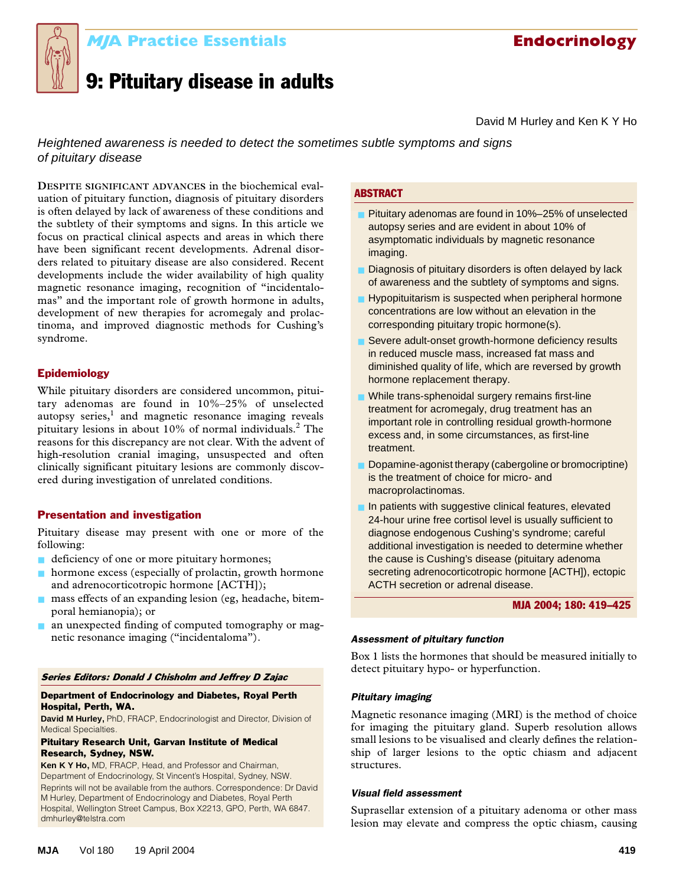

# **MJA Practice Essentials Endocrinology MJA Practice Essentials Endocrinology**

# 9: Pituitary disease in adults

David M Hurley and Ken K Y Ho

Heightened awareness is needed to detect the sometimes subtle symptoms and signs of pituitary disease

the subtlety of their symptoms and signs. In this article we abriefy of their symptom focus on practical clinical aspects and areas in which there have been significant recent developments. Adrenal disor-**DESPITE SIGNIFICANT ADVANCES** in the biochemical evaluation of pituitary function, diagnosis of pituitary disorders is often delayed by lack of awareness of these conditions and ders related to pituitary disease are also considered. Recent developments include the wider availability of high quality magnetic resonance imaging, recognition of "incidentalomas" and the important role of growth hormone in adults, development of new therapies for acromegaly and prolactinoma, and improved diagnostic methods for Cushing's syndrome.

# Epidemiology

While pituitary disorders are considered uncommon, pituitary adenomas are found in 10%–25% of unselected autopsy series, $1$  and magnetic resonance imaging reveals pituitary lesions in about 10% of normal individuals.<sup>2</sup> The reasons for this discrepancy are not clear. With the advent of high-resolution cranial imaging, unsuspected and often clinically significant pituitary lesions are commonly discovered during investigation of unrelated conditions.

# Presentation and investigation

Pituitary disease may present with one or more of the following:

- deficiency of one or more pituitary hormones;
- hormone excess (especially of prolactin, growth hormone and adrenocorticotropic hormone [ACTH]);
- mass effects of an expanding lesion (eg, headache, bitemporal hemianopia); or
- an unexpected finding of computed tomography or magnetic resonance imaging ("incidentaloma"). *Assessment of pituitary function*

#### Series Editors: Donald J Chisholm and Jeffrey D Zajac

# Department of Endocrinology and Diabetes, Royal Perth Hospital, Perth, WA.

**David M Hurley,** PhD, FRACP, Endocrinologist and Director, Division of Medical Specialties.

### Pituitary Research Unit, Garvan Institute of Medical Research, Sydney, NSW.

**Ken K Y Ho,** MD, FRACP, Head, and Professor and Chairman, Department of Endocrinology, St Vincent's Hospital, Sydney, NSW. Reprints will not be available from the authors. Correspondence: Dr David M Hurley, Department of Endocrinology and Diabetes, Royal Perth Hospital, Wellington Street Campus, Box X2213, GPO, Perth, WA 6847. dmhurley@telstra.com

# ABSTRACT

- Pituitary adenomas are found in 10%–25% of unselected autopsy series and are evident in about 10% of asymptomatic individuals by magnetic resonance imaging.
- Diagnosis of pituitary disorders is often delayed by lack of awareness and the subtlety of symptoms and signs.
- Hypopituitarism is suspected when peripheral hormone concentrations are low without an elevation in the corresponding pituitary tropic hormone(s).
- Severe adult-onset growth-hormone deficiency results in reduced muscle mass, increased fat mass and diminished quality of life, which are reversed by growth hormone replacement therapy.
- While trans-sphenoidal surgery remains first-line treatment for acromegaly, drug treatment has an important role in controlling residual growth-hormone excess and, in some circumstances, as first-line treatment.
- Dopamine-agonist therapy (cabergoline or bromocriptine) is the treatment of choice for micro- and macroprolactinomas.
- In patients with suggestive clinical features, elevated 24-hour urine free cortisol level is usually sufficient to diagnose endogenous Cushing's syndrome; careful additional investigation is needed to determine whether the cause is Cushing's disease (pituitary adenoma secreting adrenocorticotropic hormone [ACTH]), ectopic ACTH secretion or adrenal disease.

### MJA 2004; 180: 419–425

Box 1 lists the hormones that should be measured initially to detect pituitary hypo- or hyperfunction.

# *Pituitary imaging*

Magnetic resonance imaging (MRI) is the method of choice for imaging the pituitary gland. Superb resolution allows small lesions to be visualised and clearly defines the relationship of larger lesions to the optic chiasm and adjacent structures.

# *Visual field assessment*

Suprasellar extension of a pituitary adenoma or other mass lesion may elevate and compress the optic chiasm, causing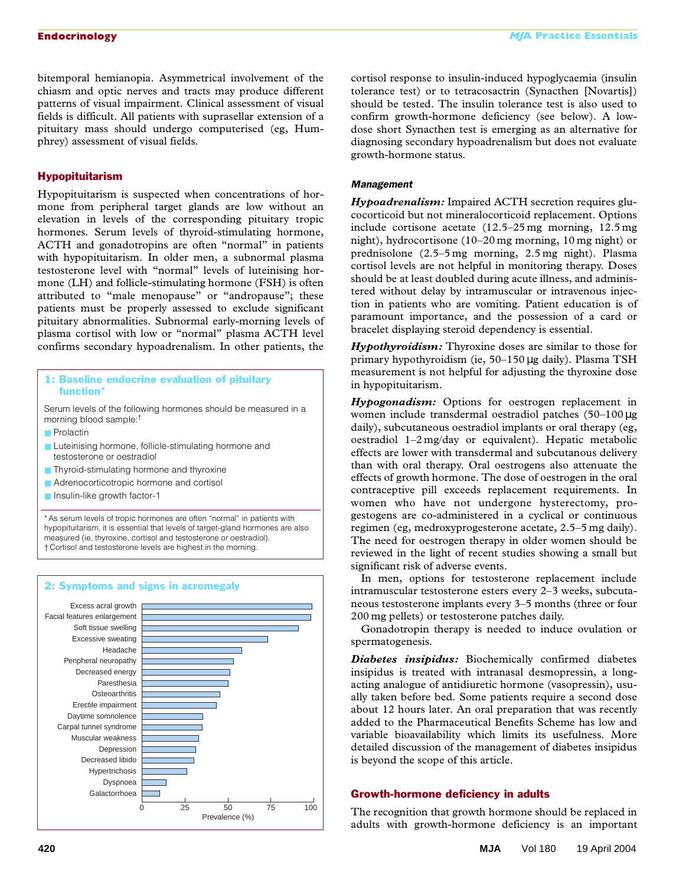bitemporal hemianopia. Asymmetrical involvement of the chiasm and optic nerves and tracts may produce different patterns of visual impairment. Clinical assessment of visual fields is difficult. All patients with suprasellar extension of a pituitary mass should undergo computerised (eg, Humphrey) assessment of visual fields.

# Hypopituitarism

Hypopituitarism is suspected when concentrations of hormone from peripheral target glands are low without an elevation in levels of the corresponding pituitary tropic hormones. Serum levels of thyroid-stimulating hormone, ACTH and gonadotropins are often "normal" in patients with hypopituitarism. In older men, a subnormal plasma testosterone level with "normal" levels of luteinising hormone (LH) and follicle-stimulating hormone (FSH) is often attributed to "male menopause" or "andropause"; these patients must be properly assessed to exclude significant pituitary abnormalities. Subnormal early-morning levels of plasma cortisol with low or "normal" plasma ACTH level confirms secondary hypoadrenalism. In other patients, the

# 1: Baseline endocrine evaluation of pituitary function<sup>\*</sup>

Serum levels of the following hormones should be measured in a morning blood sample:†

- Prolactin
- Luteinising hormone, follicle-stimulating hormone and testosterone or oestradiol
- Thyroid-stimulating hormone and thyroxine
- Adrenocorticotropic hormone and cortisol
- Insulin-like growth factor-1

\* As serum levels of tropic hormones are often "normal" in patients with hypopituitarism, it is essential that levels of target-gland hormones are also measured (ie, thyroxine, cortisol and testosterone or oestradiol). † Cortisol and testosterone levels are highest in the morning.



cortisol response to insulin-induced hypoglycaemia (insulin tolerance test) or to tetracosactrin (Synacthen [Novartis]) should be tested. The insulin tolerance test is also used to confirm growth-hormone deficiency (see below). A lowdose short Synacthen test is emerging as an alternative for diagnosing secondary hypoadrenalism but does not evaluate growth-hormone status.

# *Management*

*Hypoadrenalism:* Impaired ACTH secretion requires glucocorticoid but not mineralocorticoid replacement. Options include cortisone acetate (12.5–25 mg morning, 12.5 mg night), hydrocortisone (10–20 mg morning, 10 mg night) or prednisolone (2.5–5 mg morning, 2.5 mg night). Plasma cortisol levels are not helpful in monitoring therapy. Doses should be at least doubled during acute illness, and administered without delay by intramuscular or intravenous injection in patients who are vomiting. Patient education is of paramount importance, and the possession of a card or bracelet displaying steroid dependency is essential.

*Hypothyroidism:* Thyroxine doses are similar to those for primary hypothyroidism (ie, 50–150 µg daily). Plasma TSH measurement is not helpful for adjusting the thyroxine dose in hypopituitarism.

*Hypogonadism:* Options for oestrogen replacement in women include transdermal oestradiol patches (50–100 µg daily), subcutaneous oestradiol implants or oral therapy (eg, oestradiol 1–2 mg/day or equivalent). Hepatic metabolic effects are lower with transdermal and subcutanous delivery than with oral therapy. Oral oestrogens also attenuate the effects of growth hormone. The dose of oestrogen in the oral contraceptive pill exceeds replacement requirements. In women who have not undergone hysterectomy, progestogens are co-administered in a cyclical or continuous regimen (eg, medroxyprogesterone acetate, 2.5–5 mg daily). The need for oestrogen therapy in older women should be reviewed in the light of recent studies showing a small but significant risk of adverse events.

In men, options for testosterone replacement include intramuscular testosterone esters every 2–3 weeks, subcutaneous testosterone implants every 3–5 months (three or four 200 mg pellets) or testosterone patches daily.

Gonadotropin therapy is needed to induce ovulation or spermatogenesis.

*Diabetes insipidus:* Biochemically confirmed diabetes insipidus is treated with intranasal desmopressin, a longacting analogue of antidiuretic hormone (vasopressin), usually taken before bed. Some patients require a second dose about 12 hours later. An oral preparation that was recently added to the Pharmaceutical Benefits Scheme has low and variable bioavailability which limits its usefulness. More detailed discussion of the management of diabetes insipidus is beyond the scope of this article.

# Growth-hormone deficiency in adults

The recognition that growth hormone should be replaced in adults with growth-hormone deficiency is an important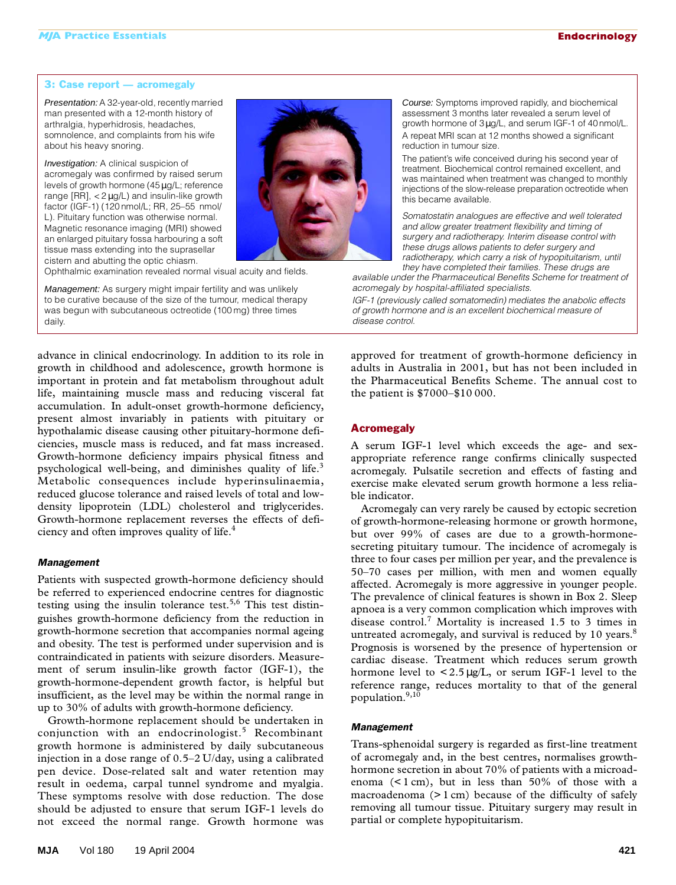#### 3: Case report — acromegaly

Presentation: A 32-year-old, recently married man presented with a 12-month history of arthralgia, hyperhidrosis, headaches, somnolence, and complaints from his wife about his heavy snoring.

Investigation: A clinical suspicion of acromegaly was confirmed by raised serum levels of growth hormone (45µg/L; reference range [RR], < 2 µg/L) and insulin-like growth factor (IGF-1) (120 nmol/L; RR, 25–55 nmol/ L). Pituitary function was otherwise normal. Magnetic resonance imaging (MRI) showed an enlarged pituitary fossa harbouring a soft tissue mass extending into the suprasellar cistern and abutting the optic chiasm.

Ophthalmic examination revealed normal visual acuity and fields.

Management: As surgery might impair fertility and was unlikely to be curative because of the size of the tumour, medical therapy was begun with subcutaneous octreotide (100 mg) three times daily.



Course: Symptoms improved rapidly, and biochemical assessment 3 months later revealed a serum level of growth hormone of 3µg/L, and serum IGF-1 of 40 nmol/L. A repeat MRI scan at 12 months showed a significant reduction in tumour size.

The patient's wife conceived during his second year of treatment. Biochemical control remained excellent, and was maintained when treatment was changed to monthly injections of the slow-release preparation octreotide when this became available.

*Somatostatin analogues are effective and well tolerated and allow greater treatment flexibility and timing of surgery and radiotherapy. Interim disease control with these drugs allows patients to defer surgery and radiotherapy, which carry a risk of hypopituitarism, until they have completed their families. These drugs are* 

*available under the Pharmaceutical Benefits Scheme for treatment of acromegaly by hospital-affiliated specialists.*

*IGF-1 (previously called somatomedin) mediates the anabolic effects of growth hormone and is an excellent biochemical measure of disease control.*

advance in clinical endocrinology. In addition to its role in growth in childhood and adolescence, growth hormone is important in protein and fat metabolism throughout adult life, maintaining muscle mass and reducing visceral fat accumulation. In adult-onset growth-hormone deficiency, present almost invariably in patients with pituitary or hypothalamic disease causing other pituitary-hormone deficiencies, muscle mass is reduced, and fat mass increased. Growth-hormone deficiency impairs physical fitness and psychological well-being, and diminishes quality of life.<sup>3</sup> Metabolic consequences include hyperinsulinaemia, reduced glucose tolerance and raised levels of total and lowdensity lipoprotein (LDL) cholesterol and triglycerides. Growth-hormone replacement reverses the effects of deficiency and often improves quality of life.4

#### *Management*

Patients with suspected growth-hormone deficiency should be referred to experienced endocrine centres for diagnostic testing using the insulin tolerance test.<sup>5,6</sup> This test distinguishes growth-hormone deficiency from the reduction in growth-hormone secretion that accompanies normal ageing and obesity. The test is performed under supervision and is contraindicated in patients with seizure disorders. Measurement of serum insulin-like growth factor (IGF-1), the growth-hormone-dependent growth factor, is helpful but insufficient, as the level may be within the normal range in up to 30% of adults with growth-hormone deficiency.

Growth-hormone replacement should be undertaken in conjunction with an endocrinologist.<sup>5</sup> Recombinant growth hormone is administered by daily subcutaneous injection in a dose range of 0.5–2 U/day, using a calibrated pen device. Dose-related salt and water retention may result in oedema, carpal tunnel syndrome and myalgia. These symptoms resolve with dose reduction. The dose should be adjusted to ensure that serum IGF-1 levels do not exceed the normal range. Growth hormone was

approved for treatment of growth-hormone deficiency in adults in Australia in 2001, but has not been included in the Pharmaceutical Benefits Scheme. The annual cost to the patient is \$7000–\$10 000.

# **Acromegaly**

A serum IGF-1 level which exceeds the age- and sexappropriate reference range confirms clinically suspected acromegaly. Pulsatile secretion and effects of fasting and exercise make elevated serum growth hormone a less reliable indicator.

Acromegaly can very rarely be caused by ectopic secretion of growth-hormone-releasing hormone or growth hormone, but over 99% of cases are due to a growth-hormonesecreting pituitary tumour. The incidence of acromegaly is three to four cases per million per year, and the prevalence is 50–70 cases per million, with men and women equally affected. Acromegaly is more aggressive in younger people. The prevalence of clinical features is shown in Box 2. Sleep apnoea is a very common complication which improves with disease control.<sup>7</sup> Mortality is increased 1.5 to 3 times in untreated acromegaly, and survival is reduced by 10 years.<sup>8</sup> Prognosis is worsened by the presence of hypertension or cardiac disease. Treatment which reduces serum growth hormone level to  $\lt 2.5 \mu g/L$ , or serum IGF-1 level to the reference range, reduces mortality to that of the general population.9,10

#### *Management*

Trans-sphenoidal surgery is regarded as first-line treatment of acromegaly and, in the best centres, normalises growthhormone secretion in about 70% of patients with a microadenoma  $(1 \text{ cm})$ , but in less than 50% of those with a macroadenoma (> 1 cm) because of the difficulty of safely removing all tumour tissue. Pituitary surgery may result in partial or complete hypopituitarism.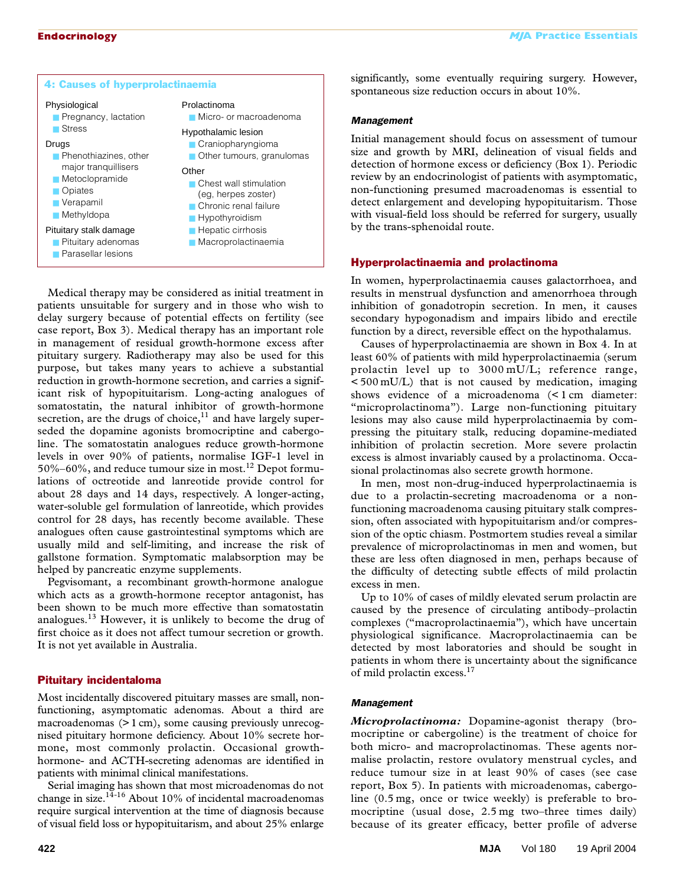| 4: Causes of hyperprolactinaemia                                                                                                                                                                                                                                                             |                                                                                                                                                                                                                                                                                          | υ<br>sţ                                            |
|----------------------------------------------------------------------------------------------------------------------------------------------------------------------------------------------------------------------------------------------------------------------------------------------|------------------------------------------------------------------------------------------------------------------------------------------------------------------------------------------------------------------------------------------------------------------------------------------|----------------------------------------------------|
| Physiological<br>Pregnancy, lactation<br>■ Stress<br>Drugs<br>Phenothiazines, other<br>major tranquillisers<br><b>Metoclopramide</b><br>$\Box$ Opiates<br>$\blacksquare$ Verapamil<br>$\blacksquare$ Methyldopa<br>Pituitary stalk damage<br>Pituitary adenomas<br><b>Parasellar lesions</b> | Prolactinoma<br>Micro- or macroadenoma<br>Hypothalamic lesion<br>Craniopharyngioma<br>Other tumours, granulomas<br>Other<br>■ Chest wall stimulation<br>(eg, herpes zoster)<br>Chronic renal failure<br>$\blacksquare$ Hypothyroidism<br><b>Hepatic cirrhosis</b><br>Macroprolactinaemia | <b>N</b><br>Ir<br>si<br>d<br>r<br>n<br>d<br>W<br>b |
|                                                                                                                                                                                                                                                                                              |                                                                                                                                                                                                                                                                                          |                                                    |

Medical therapy may be considered as initial treatment in patients unsuitable for surgery and in those who wish to delay surgery because of potential effects on fertility (see case report, Box 3). Medical therapy has an important role in management of residual growth-hormone excess after pituitary surgery. Radiotherapy may also be used for this purpose, but takes many years to achieve a substantial reduction in growth-hormone secretion, and carries a significant risk of hypopituitarism. Long-acting analogues of somatostatin, the natural inhibitor of growth-hormone secretion, are the drugs of choice, $11$  and have largely superseded the dopamine agonists bromocriptine and cabergoline. The somatostatin analogues reduce growth-hormone levels in over 90% of patients, normalise IGF-1 level in  $50\%$ –60%, and reduce tumour size in most.<sup>12</sup> Depot formulations of octreotide and lanreotide provide control for about 28 days and 14 days, respectively. A longer-acting, water-soluble gel formulation of lanreotide, which provides control for 28 days, has recently become available. These analogues often cause gastrointestinal symptoms which are usually mild and self-limiting, and increase the risk of gallstone formation. Symptomatic malabsorption may be helped by pancreatic enzyme supplements.

Pegvisomant, a recombinant growth-hormone analogue which acts as a growth-hormone receptor antagonist, has been shown to be much more effective than somatostatin analogues.<sup>13</sup> However, it is unlikely to become the drug of first choice as it does not affect tumour secretion or growth. It is not yet available in Australia.

# Pituitary incidentaloma

Most incidentally discovered pituitary masses are small, nonfunctioning, asymptomatic adenomas. About a third are macroadenomas (>1 cm), some causing previously unrecognised pituitary hormone deficiency. About 10% secrete hormone, most commonly prolactin. Occasional growthhormone- and ACTH-secreting adenomas are identified in patients with minimal clinical manifestations.

Serial imaging has shown that most microadenomas do not change in size. $1^{14-16}$  About 10% of incidental macroadenomas require surgical intervention at the time of diagnosis because of visual field loss or hypopituitarism, and about 25% enlarge significantly, some eventually requiring surgery. However, spontaneous size reduction occurs in about 10%.

## *Management*

nitial management should focus on assessment of tumour ze and growth by MRI, delineation of visual fields and etection of hormone excess or deficiency (Box 1). Periodic eview by an endocrinologist of patients with asymptomatic, non-functioning presumed macroadenomas is essential to etect enlargement and developing hypopituitarism. Those with visual-field loss should be referred for surgery, usually y the trans-sphenoidal route.

# Hyperprolactinaemia and prolactinoma

In women, hyperprolactinaemia causes galactorrhoea, and results in menstrual dysfunction and amenorrhoea through inhibition of gonadotropin secretion. In men, it causes secondary hypogonadism and impairs libido and erectile function by a direct, reversible effect on the hypothalamus.

Causes of hyperprolactinaemia are shown in Box 4. In at least 60% of patients with mild hyperprolactinaemia (serum prolactin level up to 3000 mU/L; reference range, < 500 mU/L) that is not caused by medication, imaging shows evidence of a microadenoma (< 1 cm diameter: "microprolactinoma"). Large non-functioning pituitary lesions may also cause mild hyperprolactinaemia by compressing the pituitary stalk, reducing dopamine-mediated inhibition of prolactin secretion. More severe prolactin excess is almost invariably caused by a prolactinoma. Occasional prolactinomas also secrete growth hormone.

In men, most non-drug-induced hyperprolactinaemia is due to a prolactin-secreting macroadenoma or a nonfunctioning macroadenoma causing pituitary stalk compression, often associated with hypopituitarism and/or compression of the optic chiasm. Postmortem studies reveal a similar prevalence of microprolactinomas in men and women, but these are less often diagnosed in men, perhaps because of the difficulty of detecting subtle effects of mild prolactin excess in men.

Up to 10% of cases of mildly elevated serum prolactin are caused by the presence of circulating antibody–prolactin complexes ("macroprolactinaemia"), which have uncertain physiological significance. Macroprolactinaemia can be detected by most laboratories and should be sought in patients in whom there is uncertainty about the significance of mild prolactin excess.<sup>17</sup>

# *Management*

*Microprolactinoma:* Dopamine-agonist therapy (bromocriptine or cabergoline) is the treatment of choice for both micro- and macroprolactinomas. These agents normalise prolactin, restore ovulatory menstrual cycles, and reduce tumour size in at least 90% of cases (see case report, Box 5). In patients with microadenomas, cabergoline (0.5 mg, once or twice weekly) is preferable to bromocriptine (usual dose, 2.5 mg two–three times daily) because of its greater efficacy, better profile of adverse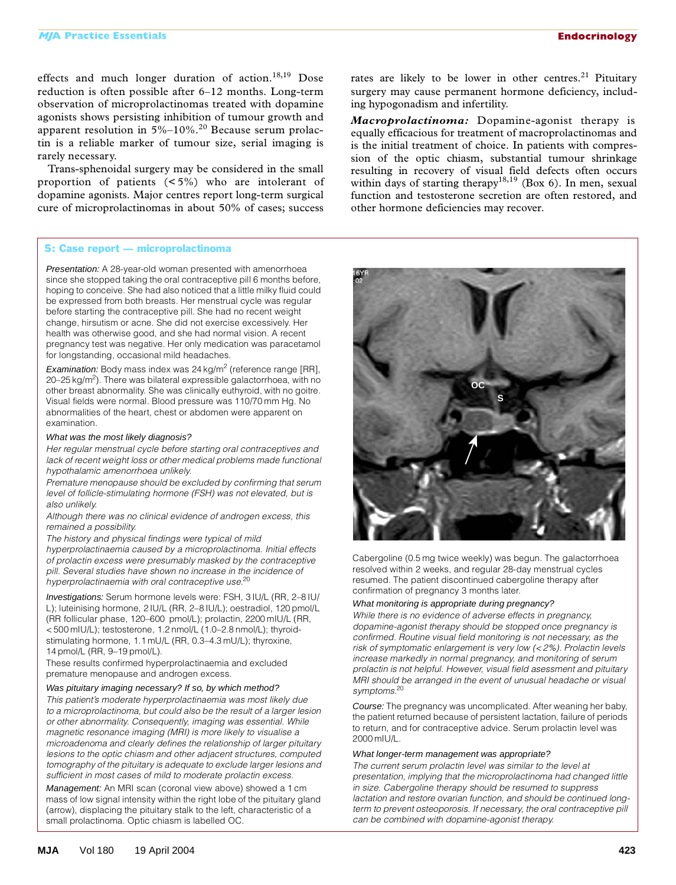effects and much longer duration of action.<sup>18,19</sup> Dose reduction is often possible after 6–12 months. Long-term observation of microprolactinomas treated with dopamine agonists shows persisting inhibition of tumour growth and apparent resolution in 5%–10%.<sup>20</sup> Because serum prolactin is a reliable marker of tumour size, serial imaging is rarely necessary.

Trans-sphenoidal surgery may be considered in the small proportion of patients (< 5%) who are intolerant of dopamine agonists. Major centres report long-term surgical cure of microprolactinomas in about 50% of cases; success

# 5: Case report — microprolactinoma

Presentation: A 28-year-old woman presented with amenorrhoea since she stopped taking the oral contraceptive pill 6 months before, hoping to conceive. She had also noticed that a little milky fluid could be expressed from both breasts. Her menstrual cycle was regular before starting the contraceptive pill. She had no recent weight change, hirsutism or acne. She did not exercise excessively. Her health was otherwise good, and she had normal vision. A recent pregnancy test was negative. Her only medication was paracetamol for longstanding, occasional mild headaches.

Examination: Body mass index was 24 kg/m<sup>2</sup> (reference range [RR], 20–25 kg/m<sup>2</sup>). There was bilateral expressible galactorrhoea, with no other breast abnormality. She was clinically euthyroid, with no goitre. Visual fields were normal. Blood pressure was 110/70 mm Hg. No abnormalities of the heart, chest or abdomen were apparent on examination.

# What was the most likely diagnosis?

*Her regular menstrual cycle before starting oral contraceptives and lack of recent weight loss or other medical problems made functional hypothalamic amenorrhoea unlikely.*

*Premature menopause should be excluded by confirming that serum level of follicle-stimulating hormone (FSH) was not elevated, but is also unlikely.*

*Although there was no clinical evidence of androgen excess, this remained a possibility.*

*The history and physical findings were typical of mild* 

*hyperprolactinaemia caused by a microprolactinoma. Initial effects of prolactin excess were presumably masked by the contraceptive pill. Several studies have shown no increase in the incidence of hyperprolactinaemia with oral contraceptive use.*<sup>20</sup>

Investigations: Serum hormone levels were: FSH, 3 IU/L (RR, 2–8 IU/ L); luteinising hormone, 2 IU/L (RR, 2–8 IU/L); oestradiol, 120 pmol/L (RR follicular phase, 120–600 pmol/L); prolactin, 2200 mIU/L (RR, < 500 mIU/L); testosterone, 1.2 nmol/L (1.0–2.8 nmol/L); thyroidstimulating hormone, 1.1 mU/L (RR, 0.3–4.3 mU/L); thyroxine, 14 pmol/L (RR, 9–19 pmol/L).

These results confirmed hyperprolactinaemia and excluded premature menopause and androgen excess.

#### Was pituitary imaging necessary? If so, by which method?

*This patient's moderate hyperprolactinaemia was most likely due to a microprolactinoma, but could also be the result of a larger lesion or other abnormality. Consequently, imaging was essential. While magnetic resonance imaging (MRI) is more likely to visualise a microadenoma and clearly defines the relationship of larger pituitary lesions to the optic chiasm and other adjacent structures, computed tomography of the pituitary is adequate to exclude larger lesions and sufficient in most cases of mild to moderate prolactin excess.*

Management: An MRI scan (coronal view above) showed a 1 cm mass of low signal intensity within the right lobe of the pituitary gland (arrow), displacing the pituitary stalk to the left, characteristic of a small prolactinoma. Optic chiasm is labelled OC.

*Macroprolactinoma:* Dopamine-agonist therapy is equally efficacious for treatment of macroprolactinomas and is the initial treatment of choice. In patients with compression of the optic chiasm, substantial tumour shrinkage resulting in recovery of visual field defects often occurs within days of starting therapy<sup>18,19</sup> (Box 6). In men, sexual function and testosterone secretion are often restored, and other hormone deficiencies may recover.



Cabergoline (0.5 mg twice weekly) was begun. The galactorrhoea resolved within 2 weeks, and regular 28-day menstrual cycles resumed. The patient discontinued cabergoline therapy after confirmation of pregnancy 3 months later.

# What monitoring is appropriate during pregnancy?

*While there is no evidence of adverse effects in pregnancy, dopamine-agonist therapy should be stopped once pregnancy is confirmed. Routine visual field monitoring is not necessary, as the risk of symptomatic enlargement is very low (< 2%). Prolactin levels increase markedly in normal pregnancy, and monitoring of serum prolactin is not helpful. However, visual field asessment and pituitary MRI should be arranged in the event of unusual headache or visual symptoms.*<sup>20</sup>

Course: The pregnancy was uncomplicated. After weaning her baby, the patient returned because of persistent lactation, failure of periods to return, and for contraceptive advice. Serum prolactin level was 2000 mIU/L.

#### What longer-term management was appropriate?

*The current serum prolactin level was similar to the level at presentation, implying that the microprolactinoma had changed little in size. Cabergoline therapy should be resumed to suppress lactation and restore ovarian function, and should be continued longterm to prevent osteoporosis. If necessary, the oral contraceptive pill can be combined with dopamine-agonist therapy.*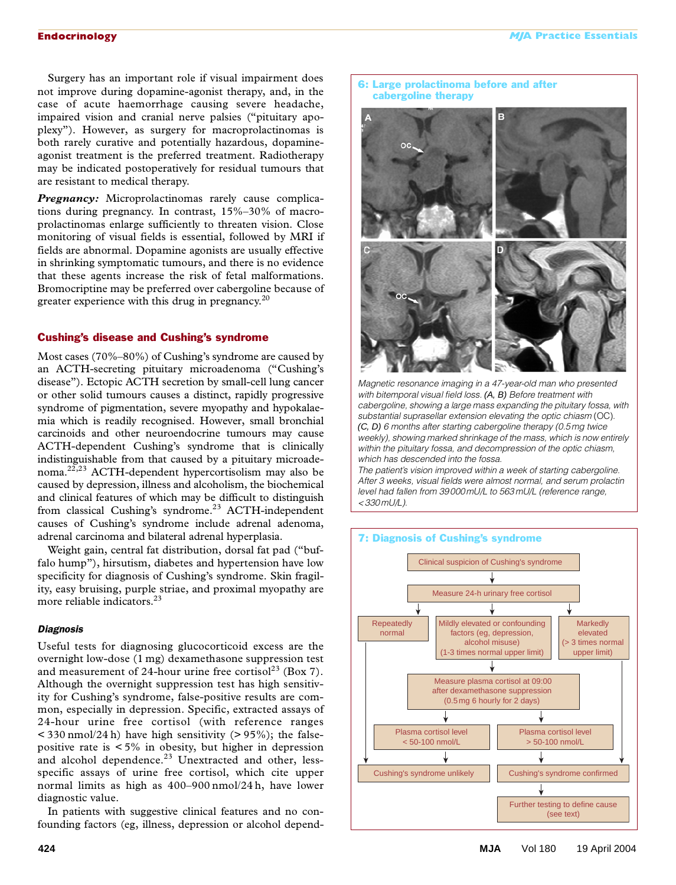Surgery has an important role if visual impairment does not improve during dopamine-agonist therapy, and, in the case of acute haemorrhage causing severe headache, impaired vision and cranial nerve palsies ("pituitary apoplexy"). However, as surgery for macroprolactinomas is both rarely curative and potentially hazardous, dopamineagonist treatment is the preferred treatment. Radiotherapy may be indicated postoperatively for residual tumours that are resistant to medical therapy.

*Pregnancy:* Microprolactinomas rarely cause complications during pregnancy. In contrast, 15%–30% of macroprolactinomas enlarge sufficiently to threaten vision. Close monitoring of visual fields is essential, followed by MRI if fields are abnormal. Dopamine agonists are usually effective in shrinking symptomatic tumours, and there is no evidence that these agents increase the risk of fetal malformations. Bromocriptine may be preferred over cabergoline because of greater experience with this drug in pregnancy. $^{20}$ 

# Cushing's disease and Cushing's syndrome

Most cases (70%–80%) of Cushing's syndrome are caused by an ACTH-secreting pituitary microadenoma ("Cushing's disease"). Ectopic ACTH secretion by small-cell lung cancer or other solid tumours causes a distinct, rapidly progressive syndrome of pigmentation, severe myopathy and hypokalaemia which is readily recognised. However, small bronchial carcinoids and other neuroendocrine tumours may cause ACTH-dependent Cushing's syndrome that is clinically indistinguishable from that caused by a pituitary microadenoma.22,23 ACTH-dependent hypercortisolism may also be caused by depression, illness and alcoholism, the biochemical and clinical features of which may be difficult to distinguish from classical Cushing's syndrome.<sup>23</sup> ACTH-independent causes of Cushing's syndrome include adrenal adenoma, adrenal carcinoma and bilateral adrenal hyperplasia.

Weight gain, central fat distribution, dorsal fat pad ("buffalo hump"), hirsutism, diabetes and hypertension have low specificity for diagnosis of Cushing's syndrome. Skin fragility, easy bruising, purple striae, and proximal myopathy are more reliable indicators.<sup>23</sup>

#### *Diagnosis*

Useful tests for diagnosing glucocorticoid excess are the overnight low-dose (1 mg) dexamethasone suppression test and measurement of 24-hour urine free cortisol<sup>23</sup> (Box 7). Although the overnight suppression test has high sensitivity for Cushing's syndrome, false-positive results are common, especially in depression. Specific, extracted assays of 24-hour urine free cortisol (with reference ranges  $<$  330 nmol/24 h) have high sensitivity (> 95%); the falsepositive rate is  $\lt 5\%$  in obesity, but higher in depression and alcohol dependence.<sup>23</sup> Unextracted and other, lessspecific assays of urine free cortisol, which cite upper normal limits as high as 400–900 nmol/24 h, have lower diagnostic value.

In patients with suggestive clinical features and no confounding factors (eg, illness, depression or alcohol depend-



*Magnetic resonance imaging in a 47-year-old man who presented with bitemporal visual field loss.* (A, B) *Before treatment with cabergoline, showing a large mass expanding the pituitary fossa, with substantial suprasellar extension elevating the optic chiasm* (OC)*.*  (C, D) *6 months after starting cabergoline therapy (0.5mg twice weekly), showing marked shrinkage of the mass, which is now entirely within the pituitary fossa, and decompression of the optic chiasm, which has descended into the fossa.*

*The patient's vision improved within a week of starting cabergoline. After 3 weeks, visual fields were almost normal, and serum prolactin level had fallen from 39000mU/L to 563 mU/L (reference range, <330 mU/L).*